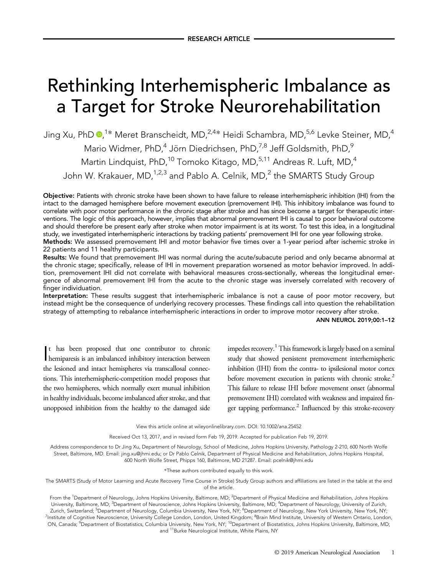# Rethinking Interhemispheric Imbalance as  $\frac{1}{\sqrt{2}}$

Jing Xu, PhD **®**,<sup>1</sup>\* Meret Branscheidt, MD,<sup>2,4</sup>\* Heidi Schambra, MD,<sup>5,6</sup> Levke Steiner, MD,<sup>4</sup> Mario Widmer, PhD,<sup>4</sup> Jörn Diedrichsen, PhD,<sup>7,8</sup> Jeff Goldsmith, PhD,<sup>9</sup> Martin Lindquist, PhD,<sup>10</sup> Tomoko Kitago, MD,<sup>5,11</sup> Andreas R. Luft, MD,<sup>4</sup> John W. Krakauer, MD, <sup>1,2,3</sup> and Pablo A. Celnik, MD,<sup>2</sup> the SMARTS Study Group

Objective: Patients with chronic stroke have been shown to have failure to release interhemispheric inhibition (IHI) from the intact to the damaged hemisphere before movement execution (premovement IHI). This inhibitory imbalance was found to correlate with poor motor performance in the chronic stage after stroke and has since become a target for therapeutic interventions. The logic of this approach, however, implies that abnormal premovement IHI is causal to poor behavioral outcome and should therefore be present early after stroke when motor impairment is at its worst. To test this idea, in a longitudinal study, we investigated interhemispheric interactions by tracking patients' premovement IHI for one year following stroke. Methods: We assessed premovement IHI and motor behavior five times over a 1-year period after ischemic stroke in

22 patients and 11 healthy participants.

Results: We found that premovement IHI was normal during the acute/subacute period and only became abnormal at the chronic stage; specifically, release of IHI in movement preparation worsened as motor behavior improved. In addition, premovement IHI did not correlate with behavioral measures cross-sectionally, whereas the longitudinal emergence of abnormal premovement IHI from the acute to the chronic stage was inversely correlated with recovery of finger individuation.

Interpretation: These results suggest that interhemispheric imbalance is not a cause of poor motor recovery, but instead might be the consequence of underlying recovery processes. These findings call into question the rehabilitation strategy of attempting to rebalance interhemispheric interactions in order to improve motor recovery after stroke.

ANN NEUROL 2019;00:1–12

I hemiparesis is an imbalanced inhibitory interaction between t has been proposed that one contributor to chronic the lesioned and intact hemispheres via transcallosal connections. This interhemispheric-competition model proposes that the two hemispheres, which normally exert mutual inhibition in healthy individuals, become imbalanced after stroke, and that unopposed inhibition from the healthy to the damaged side

impedes recovery.<sup>1</sup> This framework is largely based on a seminal study that showed persistent premovement interhemispheric inhibition (IHI) from the contra- to ipsilesional motor cortex before movement execution in patients with chronic stroke.<sup>2</sup> This failure to release IHI before movement onset (abnormal premovement IHI) correlated with weakness and impaired finger tapping performance.<sup>2</sup> Influenced by this stroke-recovery

View this article online at wileyonlinelibrary.com. DOI: 10.1002/ana.25452

Received Oct 13, 2017, and in revised form Feb 19, 2019. Accepted for publication Feb 19, 2019.

Address correspondence to Dr Jing Xu, Department of Neurology, School of Medicine, Johns Hopkins University, Pathology 2-210, 600 North Wolfe Street, Baltimore, MD. Email: [jing.xu@jhmi.edu;](mailto:jing.xu@jhmi.edu) or Dr Pablo Celnik, Department of Physical Medicine and Rehabilitation, Johns Hopkins Hospital, 600 North Wolfe Street, Phipps 160, Baltimore, MD 21287. Email: [pcelnik@jhmi.edu](mailto:pcelnik@jhmi.edu)

\*These authors contributed equally to this work.

The SMARTS (Study of Motor Learning and Acute Recovery Time Course in Stroke) Study Group authors and affiliations are listed in the table at the end of the article.

From the <sup>1</sup>Department of Neurology, Johns Hopkins University, Baltimore, MD; <sup>2</sup>Department of Physical Medicine and Rehabilitation, Johns Hopkins University, Baltimore, MD; <sup>3</sup>Department of Neuroscience, Johns Hopkins University, Baltimore, MD; <sup>4</sup>Department of Neurology, University of Zurich, Zurich, Switzerland; <sup>5</sup>Department of Neurology, Columbia University, New York, NY; <sup>6</sup>Department of Neurology, New York University, New York, NY; <sup>7</sup>Institute of Cognitive Neuroscience, University College London, London, United Kingdom; <sup>8</sup>Brain Mind Institute, University of Western Ontario, London, ON, Canada; <sup>9</sup>Department of Biostatistics, Columbia University, New York, NY; <sup>10</sup>Department of Biostatistics, Johns Hopkins University, Baltimore, MD; and <sup>11</sup>Burke Neurological Institute, White Plains, NY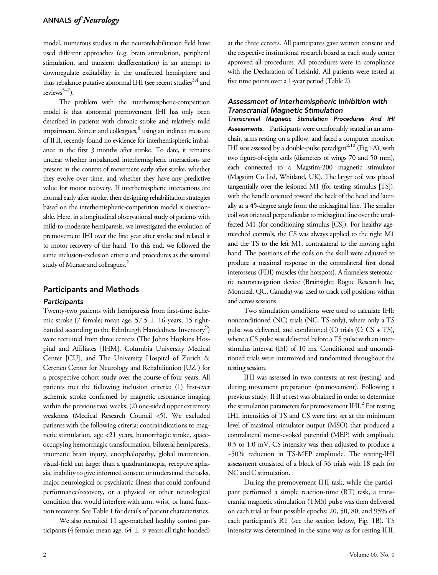model, numerous studies in the neurorehabilitation field have used different approaches (e.g. brain stimulation, peripheral stimulation, and transient deafferentation) in an attempt to downregulate excitability in the unaffected hemisphere and thus rebalance putative abnormal IHI (see recent studies<sup>3,4</sup> and reviews<sup>5–7</sup>).

The problem with the interhemispheric-competition model is that abnormal premovement IHI has only been described in patients with chronic stroke and relatively mild impairment. Stinear and colleagues,<sup>8</sup> using an indirect measure of IHI, recently found no evidence for interhemispheric imbalance in the first 3 months after stroke. To date, it remains unclear whether imbalanced interhemispheric interactions are present in the context of movement early after stroke, whether they evolve over time, and whether they have any predictive value for motor recovery. If interhemispheric interactions are normal early after stroke, then designing rehabilitation strategies based on the interhemispheric-competition model is questionable. Here, in a longitudinal observational study of patients with mild-to-moderate hemiparesis, we investigated the evolution of premovement IHI over the first year after stroke and related it to motor recovery of the hand. To this end, we followed the same inclusion-exclusion criteria and procedures as the seminal study of Murase and colleagues.<sup>2</sup>

## Participants and Methods

## **Participants**

Twenty-two patients with hemiparesis from first-time ischemic stroke (7 female; mean age,  $57.5 \pm 16$  years; 15 righthanded according to the Edinburgh Handedness Inventory $^9$ ) were recruited from three centers (The Johns Hopkins Hospital and Affiliates [JHM], Columbia University Medical Center [CU], and The University Hospital of Zurich & Cereneo Center for Neurology and Rehabilitation [UZ]) for a prospective cohort study over the course of four years. All patients met the following inclusion criteria: (1) first-ever ischemic stroke confirmed by magnetic resonance imaging within the previous two weeks; (2) one-sided upper extremity weakness (Medical Research Council <5). We excluded patients with the following criteria: contraindications to magnetic stimulation, age <21 years, hemorrhagic stroke, spaceoccupying hemorrhagic transformation, bilateral hemiparesis, traumatic brain injury, encephalopathy, global inattention, visual-field cut larger than a quadrantanopia, receptive aphasia, inability to give informed consent or understand the tasks, major neurological or psychiatric illness that could confound performance/recovery, or a physical or other neurological condition that would interfere with arm, wrist, or hand function recovery. See Table 1 for details of patient characteristics.

We also recruited 11 age-matched healthy control participants (4 female; mean age,  $64 \pm 9$  years; all right-handed) at the three centers. All participants gave written consent and the respective institutional research board at each study center approved all procedures. All procedures were in compliance with the Declaration of Helsinki. All patients were tested at five time points over a 1-year period (Table 2).

## Assessment of Interhemispheric Inhibition with Transcranial Magnetic Stimulation

Transcranial Magnetic Stimulation Procedures And IHI Assessments. Participants were comfortably seated in an armchair, arms resting on a pillow, and faced a computer monitor. IHI was assessed by a double-pulse paradigm<sup>2,10</sup> (Fig 1A), with two figure-of-eight coils (diameters of wings 70 and 50 mm), each connected to a Magstim-200 magnetic stimulator (Magstim Co Ltd, Whitland, UK). The larger coil was placed tangentially over the lesioned M1 (for testing stimulus [TS]), with the handle oriented toward the back of the head and laterally at a 45-degree angle from the midsagittal line. The smaller coil was oriented perpendicular to midsagittal line over the unaffected M1 (for conditioning stimulus [CS]). For healthy agematched controls, the CS was always applied to the right M1 and the TS to the left M1, contralateral to the moving right hand. The positions of the coils on the skull were adjusted to produce a maximal response in the contralateral first dorsal interosseus (FDI) muscles (the hotspots). A frameless stereotactic neuronavigation device (Brainsight; Rogue Research Inc, Montreal, QC, Canada) was used to track coil positions within and across sessions.

Two stimulation conditions were used to calculate IHI: nonconditioned (NC) trials (NC: TS-only), where only a TS pulse was delivered, and conditioned (C) trials (C: CS + TS), where a CS pulse was delivered before a TS pulse with an interstimulus interval (ISI) of 10 ms. Conditioned and unconditioned trials were intermixed and randomized throughout the testing session.

IHI was assessed in two contexts: at rest (resting) and during movement preparation (premovement). Following a previous study, IHI at rest was obtained in order to determine the stimulation parameters for premovement IHI. $^{2}$  For resting IHI, intensities of TS and CS were first set at the minimum level of maximal stimulator output (MSO) that produced a contralateral motor-evoked potential (MEP) with amplitude 0.5 to 1.0 mV. CS intensity was then adjusted to produce a ~50% reduction in TS-MEP amplitude. The resting-IHI assessment consisted of a block of 36 trials with 18 each for NC and C stimulation.

During the premovement IHI task, while the participant performed a simple reaction-time (RT) task, a transcranial magnetic stimulation (TMS) pulse was then delivered on each trial at four possible epochs: 20, 50, 80, and 95% of each participant's RT (see the section below, Fig. 1B). TS intensity was determined in the same way as for resting IHI.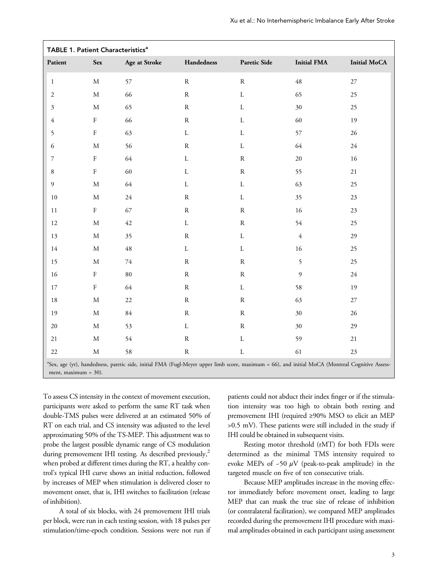| TABLE 1. Patient Characteristics <sup>a</sup>                                                                                                                                          |             |               |               |               |                    |                     |  |
|----------------------------------------------------------------------------------------------------------------------------------------------------------------------------------------|-------------|---------------|---------------|---------------|--------------------|---------------------|--|
| Patient                                                                                                                                                                                | <b>Sex</b>  | Age at Stroke | Handedness    | Paretic Side  | <b>Initial FMA</b> | <b>Initial MoCA</b> |  |
| $\mathbf{1}$                                                                                                                                                                           | $\mathbf M$ | 57            | ${\bf R}$     | ${\bf R}$     | 48                 | $27\,$              |  |
| $\sqrt{2}$                                                                                                                                                                             | $\mathbf M$ | 66            | ${\bf R}$     | $\mathbf L$   | 65                 | 25                  |  |
| $\boldsymbol{\beta}$                                                                                                                                                                   | $\mathbf M$ | 65            | ${\bf R}$     | $\mathbf L$   | 30                 | 25                  |  |
| $\sqrt{4}$                                                                                                                                                                             | $\rm F$     | 66            | ${\bf R}$     | $\mathbf L$   | 60                 | 19                  |  |
| $\mathfrak{S}$                                                                                                                                                                         | $\rm F$     | 63            | $\mathbf L$   | $\mathbf L$   | 57                 | $26\,$              |  |
| $\epsilon$                                                                                                                                                                             | $\mathbf M$ | 56            | ${\bf R}$     | $\mathbf L$   | 64                 | $24\,$              |  |
| $\boldsymbol{7}$                                                                                                                                                                       | $\rm F$     | 64            | $\mathbf L$   | ${\mathbf R}$ | $20\,$             | $16\,$              |  |
| $\,$ 8 $\,$                                                                                                                                                                            | $\rm F$     | 60            | $\mathbf L$   | ${\bf R}$     | 55                 | $21\,$              |  |
| $\mathfrak{g}$                                                                                                                                                                         | $\mathbf M$ | 64            | $\mathbf L$   | $\mathbf L$   | 63                 | 25                  |  |
| $10\,$                                                                                                                                                                                 | $\mathbf M$ | $24\,$        | ${\bf R}$     | $\mathbf L$   | 35                 | 23                  |  |
| $1\,1$                                                                                                                                                                                 | ${\bf F}$   | 67            | ${\bf R}$     | ${\bf R}$     | 16                 | $23\,$              |  |
| $12\,$                                                                                                                                                                                 | $\mathbf M$ | 42            | $\mathbf L$   | ${\bf R}$     | 54                 | 25                  |  |
| $13\,$                                                                                                                                                                                 | $\mathbf M$ | 35            | ${\bf R}$     | $\mathbf L$   | $\sqrt{4}$         | 29                  |  |
| 14                                                                                                                                                                                     | $\mathbf M$ | $\sqrt{48}$   | $\mathbf L$   | $\mathbf L$   | 16                 | 25                  |  |
| 15                                                                                                                                                                                     | $\mathbf M$ | $74\,$        | ${\bf R}$     | ${\bf R}$     | 5                  | 25                  |  |
| $16\,$                                                                                                                                                                                 | ${\bf F}$   | $80\,$        | ${\bf R}$     | ${\bf R}$     | 9                  | $24\,$              |  |
| $17\,$                                                                                                                                                                                 | ${\bf F}$   | 64            | ${\bf R}$     | $\mathbf L$   | 58                 | 19                  |  |
| $18\,$                                                                                                                                                                                 | $\mathbf M$ | $22\,$        | ${\bf R}$     | ${\bf R}$     | 63                 | $27\,$              |  |
| 19                                                                                                                                                                                     | $\mathbf M$ | $84\,$        | ${\mathbf R}$ | ${\bf R}$     | 30                 | 26                  |  |
| $20\,$                                                                                                                                                                                 | $\mathbf M$ | 53            | $\mathbf L$   | ${\bf R}$     | 30                 | 29                  |  |
| $21\,$                                                                                                                                                                                 | $\mathbf M$ | 54            | ${\bf R}$     | $\mathbf L$   | 59                 | $21\,$              |  |
| $22\,$                                                                                                                                                                                 | $\mathbf M$ | 58            | ${\bf R}$     | $\mathbf L$   | 61                 | $23\,$              |  |
| <sup>a</sup> Sex, age (yr), handedness, paretic side, initial FMA (Fugl-Meyer upper limb score, maximum = 66), and initial MoCA (Montreal Cognitive Assess-<br>ment, maximum = $30$ ). |             |               |               |               |                    |                     |  |

To assess CS intensity in the context of movement execution, participants were asked to perform the same RT task when double-TMS pulses were delivered at an estimated 50% of RT on each trial, and CS intensity was adjusted to the level approximating 50% of the TS-MEP. This adjustment was to probe the largest possible dynamic range of CS modulation during premovement IHI testing. As described previously,<sup>2</sup> when probed at different times during the RT, a healthy control's typical IHI curve shows an initial reduction, followed by increases of MEP when stimulation is delivered closer to movement onset, that is, IHI switches to facilitation (release of inhibition).

A total of six blocks, with 24 premovement IHI trials per block, were run in each testing session, with 18 pulses per stimulation/time-epoch condition. Sessions were not run if patients could not abduct their index finger or if the stimulation intensity was too high to obtain both resting and premovement IHI (required ≥90% MSO to elicit an MEP >0.5 mV). These patients were still included in the study if IHI could be obtained in subsequent visits.

Resting motor threshold (rMT) for both FDIs were determined as the minimal TMS intensity required to evoke MEPs of  $-50 \mu V$  (peak-to-peak amplitude) in the targeted muscle on five of ten consecutive trials.

Because MEP amplitudes increase in the moving effector immediately before movement onset, leading to large MEP that can mask the true size of release of inhibition (or contralateral facilitation), we compared MEP amplitudes recorded during the premovement IHI procedure with maximal amplitudes obtained in each participant using assessment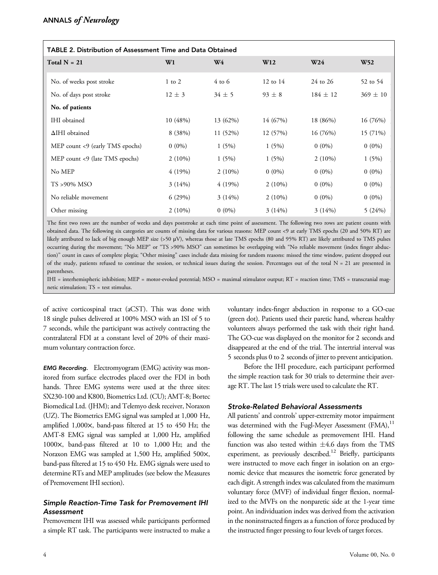| TABLE 2. Distribution of Assessment Time and Data Obtained |            |                |            |                 |                 |  |  |  |
|------------------------------------------------------------|------------|----------------|------------|-----------------|-----------------|--|--|--|
| Total $N = 21$                                             | W1         | W <sub>4</sub> | W12        | W <sub>24</sub> | W <sub>52</sub> |  |  |  |
| No. of weeks post stroke                                   | $1$ to $2$ | $4$ to 6       | 12 to $14$ | 24 to 26        | 52 to 54        |  |  |  |
| No. of days post stroke                                    | $12 \pm 3$ | $34 \pm 5$     | $93 \pm 8$ | $184 \pm 12$    | $369 \pm 10$    |  |  |  |
| No. of patients                                            |            |                |            |                 |                 |  |  |  |
| <b>IHI</b> obtained                                        | 10 (48%)   | 13 (62%)       | 14 (67%)   | 18 (86%)        | 16 (76%)        |  |  |  |
| $\Delta$ IHI obtained                                      | 8 (38%)    | 11 (52%)       | 12 (57%)   | 16 (76%)        | 15 (71%)        |  |  |  |
| MEP count <9 (early TMS epochs)                            | $0(0\%)$   | 1(5%)          | 1(5%)      | $0(0\%)$        | $0(0\%)$        |  |  |  |
| MEP count <9 (late TMS epochs)                             | $2(10\%)$  | 1(5%)          | 1(5%)      | $2(10\%)$       | 1(5%)           |  |  |  |
| No MEP                                                     | 4(19%)     | $2(10\%)$      | $0(0\%)$   | $0(0\%)$        | $0(0\%)$        |  |  |  |
| $TS > 90\%$ MSO                                            | $3(14\%)$  | 4(19%)         | $2(10\%)$  | $0(0\%)$        | $0(0\%)$        |  |  |  |
| No reliable movement                                       | 6(29%)     | $3(14\%)$      | $2(10\%)$  | $0(0\%)$        | $0(0\%)$        |  |  |  |
| Other missing                                              | $2(10\%)$  | $0(0\%)$       | 3(14%)     | 3(14%)          | 5(24%)          |  |  |  |

The first two rows are the number of weeks and days poststroke at each time point of assessment. The following two rows are patient counts with obtained data. The following six categories are counts of missing data for various reasons: MEP count <9 at early TMS epochs (20 and 50% RT) are likely attributed to lack of big enough MEP size (>50 μV), whereas those at late TMS epochs (80 and 95% RT) are likely attributed to TMS pulses occurring during the movement; "No MEP" or "TS >90% MSO" can sometimes be overlapping with "No reliable movement (index finger abduction)" count in cases of complete plegia; "Other missing" cases include data missing for random reasons: missed the time window, patient dropped out of the study, patients refused to continue the session, or technical issues during the session. Percentages out of the total  $N = 21$  are presented in parentheses.

IHI = interhemispheric inhibition; MEP = motor-evoked potential; MSO = maximal stimulator output; RT = reaction time; TMS = transcranial magnetic stimulation; TS = test stimulus.

of active corticospinal tract (aCST). This was done with 18 single pulses delivered at 100% MSO with an ISI of 5 to 7 seconds, while the participant was actively contracting the contralateral FDI at a constant level of 20% of their maximum voluntary contraction force.

EMG Recording. Electromyogram (EMG) activity was monitored from surface electrodes placed over the FDI in both hands. Three EMG systems were used at the three sites: SX230-100 and K800, Biometrics Ltd. (CU); AMT-8; Bortec Biomedical Ltd. (JHM); and Telemyo desk receiver, Noraxon (UZ). The Biometrics EMG signal was sampled at 1,000 Hz, amplified 1,000×, band-pass filtered at 15 to 450 Hz; the AMT-8 EMG signal was sampled at 1,000 Hz, amplified 1000×, band-pass filtered at 10 to 1,000 Hz; and the Noraxon EMG was sampled at 1,500 Hz, amplified 500×, band-pass filtered at 15 to 450 Hz. EMG signals were used to determine RTs and MEP amplitudes (see below the Measures of Premovement IHI section).

## Simple Reaction-Time Task for Premovement IHI Assessment

Premovement IHI was assessed while participants performed a simple RT task. The participants were instructed to make a

voluntary index-finger abduction in response to a GO-cue (green dot). Patients used their paretic hand, whereas healthy volunteers always performed the task with their right hand. The GO-cue was displayed on the monitor for 2 seconds and disappeared at the end of the trial. The intertrial interval was 5 seconds plus 0 to 2 seconds of jitter to prevent anticipation.

Before the IHI procedure, each participant performed the simple reaction task for 30 trials to determine their average RT. The last 15 trials were used to calculate the RT.

# Stroke-Related Behavioral Assessments

All patients' and controls' upper-extremity motor impairment was determined with the Fugl-Meyer Assessment (FMA),<sup>11</sup> following the same schedule as premovement IHI. Hand function was also tested within  $\pm 4.6$  days from the TMS experiment, as previously described.<sup>12</sup> Briefly, participants were instructed to move each finger in isolation on an ergonomic device that measures the isometric force generated by each digit. A strength index was calculated from the maximum voluntary force (MVF) of individual finger flexion, normalized to the MVFs on the nonparetic side at the 1-year time point. An individuation index was derived from the activation in the noninstructed fingers as a function of force produced by the instructed finger pressing to four levels of target forces.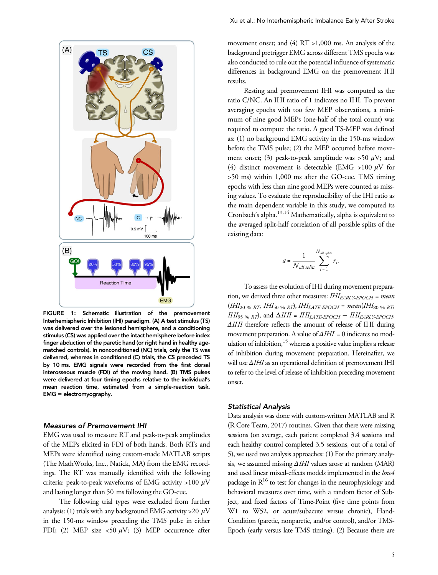

FIGURE 1: Schematic illustration of the premovement Interhemispheric Inhibition (IHI) paradigm. (A) A test stimulus (TS) was delivered over the lesioned hemisphere, and a conditioning stimulus (CS) was applied over the intact hemisphere before index finger abduction of the paretic hand (or right hand in healthy agematched controls). In nonconditioned (NC) trials, only the TS was delivered, whereas in conditioned (C) trials, the CS preceded TS by 10 ms. EMG signals were recorded from the first dorsal interosseous muscle (FDI) of the moving hand. (B) TMS pulses were delivered at four timing epochs relative to the individual's mean reaction time, estimated from a simple-reaction task. EMG = electromyography.

## Measures of Premovement IHI

EMG was used to measure RT and peak-to-peak amplitudes of the MEPs elicited in FDI of both hands. Both RTs and MEPs were identified using custom-made MATLAB scripts (The MathWorks, Inc., Natick, MA) from the EMG recordings. The RT was manually identified with the following criteria: peak-to-peak waveforms of EMG activity >100  $\mu$ V and lasting longer than 50 ms following the GO-cue.

The following trial types were excluded from further analysis: (1) trials with any background EMG activity > 20  $\mu$ V in the 150-ms window preceding the TMS pulse in either FDI; (2) MEP size <50  $\mu$ V; (3) MEP occurrence after

movement onset; and (4) RT >1,000 ms. An analysis of the background pretrigger EMG across different TMS epochs was also conducted to rule out the potential influence of systematic differences in background EMG on the premovement IHI results.

Resting and premovement IHI was computed as the ratio C/NC. An IHI ratio of 1 indicates no IHI. To prevent averaging epochs with too few MEP observations, a minimum of nine good MEPs (one-half of the total count) was required to compute the ratio. A good TS-MEP was defined as: (1) no background EMG activity in the 150-ms window before the TMS pulse; (2) the MEP occurred before movement onset; (3) peak-to-peak amplitude was >50  $\mu$ V; and (4) distinct movement is detectable (EMG >100  $\mu$ V for >50 ms) within 1,000 ms after the GO-cue. TMS timing epochs with less than nine good MEPs were counted as missing values. To evaluate the reproducibility of the IHI ratio as the main dependent variable in this study, we computed its Cronbach's alpha.13,14 Mathematically, alpha is equivalent to the averaged split-half correlation of all possible splits of the existing data:

$$
a = \frac{1}{N_{all\ splits}} \sum_{i=1}^{N_{all\ splits}} r_i.
$$

To assess the evolution of IHI during movement preparation, we derived three other measures:  $IHI_{EARLYEPOCH}$  = mean  $(HH_{20\% RT}$ ,  $HH_{50\% RT}$ ,  $HH_{LATE-EDCH}$  = mean( $HH_{80\% RT}$  $IHI_{95\% RT}$ , and  $\Delta IHI = IHI_{LATE\text{-}EPOCH} - IHI_{EARLY\text{-}EPOCH}$ . ΔIHI therefore reflects the amount of release of IHI during movement preparation. A value of  $\Delta IHI = 0$  indicates no modulation of inhibition,<sup>15</sup> whereas a positive value implies a release of inhibition during movement preparation. Hereinafter, we will use ΔIHI as an operational definition of premovement IHI to refer to the level of release of inhibition preceding movement onset.

#### Statistical Analysis

Data analysis was done with custom-written MATLAB and R (R Core Team, 2017) routines. Given that there were missing sessions (on average, each patient completed 3.4 sessions and each healthy control completed 3.5 sessions, out of a total of 5), we used two analysis approaches: (1) For the primary analysis, we assumed missing ΔIHI values arose at random (MAR) and used linear mixed-effects models implemented in the lme4 package in  $R^{16}$  to test for changes in the neurophysiology and behavioral measures over time, with a random factor of Subject, and fixed factors of Time-Point (five time points from W1 to W52, or acute/subacute versus chronic), Hand-Condition (paretic, nonparetic, and/or control), and/or TMS-Epoch (early versus late TMS timing). (2) Because there are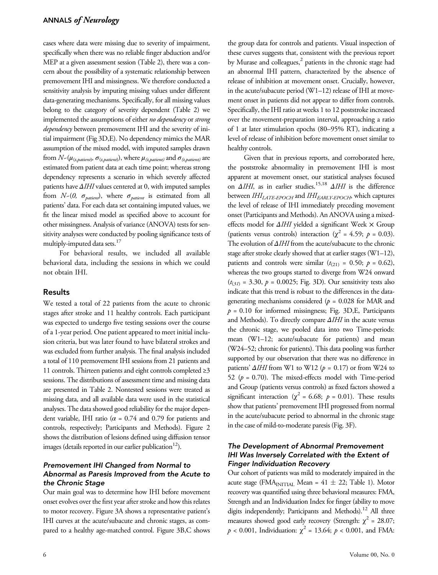cases where data were missing due to severity of impairment, specifically when there was no reliable finger abduction and/or MEP at a given assessment session (Table 2), there was a concern about the possibility of a systematic relationship between premovement IHI and missingness. We therefore conducted a sensitivity analysis by imputing missing values under different data-generating mechanisms. Specifically, for all missing values belong to the category of severity dependent (Table 2) we implemented the assumptions of either no dependency or strong dependency between premovement IHI and the severity of initial impairment (Fig 3D,E). No dependency mimics the MAR assumption of the mixed model, with imputed samples drawn from  $N-(\mu_{(t, patient)}, \sigma_{(t, patient)}),$  where  $\mu_{(t, patient)}$  and  $\sigma_{(t, patient)}$  are estimated from patient data at each time point; whereas strong dependency represents a scenario in which severely affected patients have  $\Delta IHI$  values centered at 0, with imputed samples from  $N-(0, \sigma_{\text{pattern}})$ , where  $\sigma_{\text{pattern}}$  is estimated from all patients' data. For each data set containing imputed values, we fit the linear mixed model as specified above to account for other missingness. Analysis of variance (ANOVA) tests for sensitivity analyses were conducted by pooling significance tests of multiply-imputed data sets.<sup>17</sup>

For behavioral results, we included all available behavioral data, including the sessions in which we could not obtain IHI.

## Results

We tested a total of 22 patients from the acute to chronic stages after stroke and 11 healthy controls. Each participant was expected to undergo five testing sessions over the course of a 1-year period. One patient appeared to meet initial inclusion criteria, but was later found to have bilateral strokes and was excluded from further analysis. The final analysis included a total of 110 premovement IHI sessions from 21 patients and 11 controls. Thirteen patients and eight controls completed ≥3 sessions. The distributions of assessment time and missing data are presented in Table 2. Nontested sessions were treated as missing data, and all available data were used in the statistical analyses. The data showed good reliability for the major dependent variable, IHI ratio ( $\alpha$  = 0.74 and 0.79 for patients and controls, respectively; Participants and Methods). Figure 2 shows the distribution of lesions defined using diffusion tensor images (details reported in our earlier publication<sup>12</sup>).

## Premovement IHI Changed from Normal to Abnormal as Paresis Improved from the Acute to the Chronic Stage

Our main goal was to determine how IHI before movement onset evolves over the first year after stroke and how this relates to motor recovery. Figure 3A shows a representative patient's IHI curves at the acute/subacute and chronic stages, as compared to a healthy age-matched control. Figure 3B,C shows

the group data for controls and patients. Visual inspection of these curves suggests that, consistent with the previous report by Murase and colleagues,<sup>2</sup> patients in the chronic stage had an abnormal IHI pattern, characterized by the absence of release of inhibition at movement onset. Crucially, however, in the acute/subacute period (W1–12) release of IHI at movement onset in patients did not appear to differ from controls. Specifically, the IHI ratio at weeks 1 to 12 poststroke increased over the movement-preparation interval, approaching a ratio of 1 at later stimulation epochs (80–95% RT), indicating a level of release of inhibition before movement onset similar to healthy controls.

Given that in previous reports, and corroborated here, the poststroke abnormality in premovement IHI is most apparent at movement onset, our statistical analyses focused on  $\Delta IHI$ , as in earlier studies.<sup>15,18</sup>  $\Delta IHI$  is the difference between IHI<sub>LATE-EPOCH</sub> and IHI<sub>EARLY-EPOCH</sub>, which captures the level of release of IHI immediately preceding movement onset (Participants and Methods). An ANOVA using a mixedeffects model for ΔIHI yielded a significant Week × Group (patients versus controls) interaction ( $\chi^2$  = 4.59;  $p$  = 0.03). The evolution of ΔIHI from the acute/subacute to the chronic stage after stroke clearly showed that at earlier stages (W1–12), patients and controls were similar  $(t_{(21)} = 0.50; p = 0.62)$ , whereas the two groups started to diverge from W24 onward  $(t_{(31)} = 3.30, p = 0.0025;$  Fig. 3D). Our sensitivity tests also indicate that this trend is robust to the differences in the datagenerating mechanisms considered ( $p = 0.028$  for MAR and  $p = 0.10$  for informed missingness; Fig. 3D, E, Participants and Methods). To directly compare  $\Delta IHI$  in the acute versus the chronic stage, we pooled data into two Time-periods: mean (W1–12; acute/subacute for patients) and mean (W24–52; chronic for patients). This data pooling was further supported by our observation that there was no difference in patients'  $\Delta IHI$  from W1 to W12 ( $p = 0.17$ ) or from W24 to 52 ( $p = 0.70$ ). The mixed-effects model with Time-period and Group (patients versus controls) as fixed factors showed a significant interaction ( $\chi^2$  = 6.68;  $p$  = 0.01). These results show that patients' premovement IHI progressed from normal in the acute/subacute period to abnormal in the chronic stage in the case of mild-to-moderate paresis (Fig. 3F).

## The Development of Abnormal Premovement IHI Was Inversely Correlated with the Extent of Finger Individuation Recovery

Our cohort of patients was mild to moderately impaired in the acute stage (FMA<sub>INITIAL</sub> Mean =  $41 \pm 22$ ; Table 1). Motor recovery was quantified using three behavioral measures: FMA, Strength and an Individuation Index for finger (ability to move digits independently; Participants and Methods).<sup>12</sup> All three measures showed good early recovery (Strength:  $\chi^2$  = 28.07;  $p < 0.001$ , Individuation:  $\chi^2 = 13.64$ ;  $p < 0.001$ , and FMA: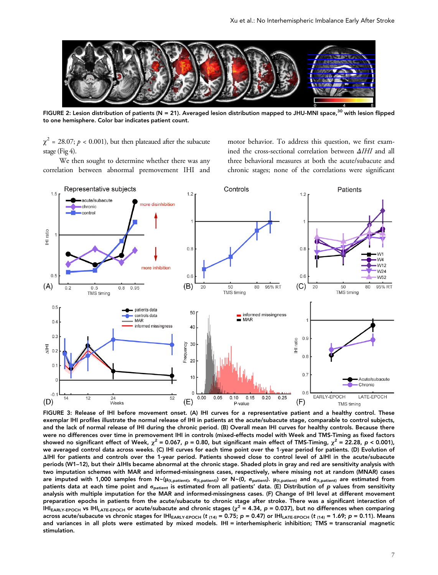

FIGURE 2: Lesion distribution of patients (N = 21). Averaged lesion distribution mapped to JHU-MNI space,<sup>30</sup> with lesion flipped to one hemisphere. Color bar indicates patient count.

 $\chi^2$  = 28.07;  $p < 0.001$ ), but then plateaued after the subacute stage (Fig 4).

We then sought to determine whether there was any correlation between abnormal premovement IHI and motor behavior. To address this question, we first examined the cross-sectional correlation between ΔIHI and all three behavioral measures at both the acute/subacute and chronic stages; none of the correlations were significant



FIGURE 3: Release of IHI before movement onset. (A) IHI curves for a representative patient and a healthy control. These exemplar IHI profiles illustrate the normal release of IHI in patients at the acute/subacute stage, comparable to control subjects, and the lack of normal release of IHI during the chronic period. (B) Overall mean IHI curves for healthy controls. Because there were no differences over time in premovement IHI in controls (mixed-effects model with Week and TMS-Timing as fixed factors showed no significant effect of Week,  $\chi^2$  = 0.067, p = 0.80, but significant main effect of TMS-Timing,  $\chi^2$  = 22.28, p < 0.001), we averaged control data across weeks. (C) IHI curves for each time point over the 1-year period for patients. (D) Evolution of ΔIHI for patients and controls over the 1-year period. Patients showed close to control level of ΔIHI in the acute/subacute periods (W1–12), but their ΔIHIs became abnormal at the chronic stage. Shaded plots in gray and red are sensitivity analysis with two imputation schemes with MAR and informed-missingness cases, respectively, where missing not at random (MNAR) cases are imputed with 1,000 samples from  $N \sim (\mu_{(t, patient)} \sigma_{(t, patient)})$  or  $N \sim (0, \sigma_{patient})$ .  $\mu_{(t, patient)}$  and  $\sigma_{(t, patient)}$  are estimated from patients data at each time point and  $\sigma_{\text{pattern}}$  is estimated from all patients' data. (E) Distribution of p values from sensitivity analysis with multiple imputation for the MAR and informed-missingness cases. (F) Change of IHI level at different movement preparation epochs in patients from the acute/subacute to chronic stage after stroke. There was a significant interaction of IHI<sub>EARLY-EPOCH</sub> vs IHI<sub>LATE-EPOCH</sub> or acute/subacute and chronic stages ( $\chi^2$  = 4.34, p = 0.037), but no differences when comparing across acute/subacute vs chronic stages for IHI<sub>EARLY-EPOCH</sub> (t<sub>(14)</sub> = 0.75; p = 0.47) or IHI<sub>LATE-EPOCH</sub> (t<sub>(14)</sub> = 1.69; p = 0.11). Means and variances in all plots were estimated by mixed models. IHI = interhemispheric inhibition; TMS = transcranial magnetic stimulation.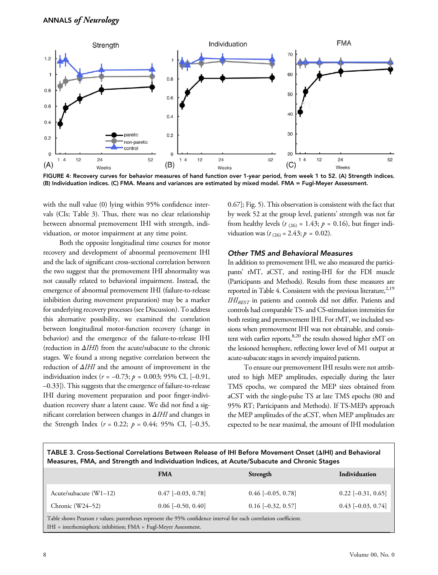

FIGURE 4: Recovery curves for behavior measures of hand function over 1-year period, from week 1 to 52. (A) Strength indices. (B) Individuation indices. (C) FMA. Means and variances are estimated by mixed model. FMA = Fugl-Meyer Assessment.

with the null value (0) lying within 95% confidence intervals (CIs; Table 3). Thus, there was no clear relationship between abnormal premovement IHI with strength, individuation, or motor impairment at any time point.

Both the opposite longitudinal time courses for motor recovery and development of abnormal premovement IHI and the lack of significant cross-sectional correlation between the two suggest that the premovement IHI abnormality was not causally related to behavioral impairment. Instead, the emergence of abnormal premovement IHI (failure-to-release inhibition during movement preparation) may be a marker for underlying recovery processes (see Discussion). To address this alternative possibility, we examined the correlation between longitudinal motor-function recovery (change in behavior) and the emergence of the failure-to-release IHI (reduction in ΔIHI) from the acute/subacute to the chronic stages. We found a strong negative correlation between the reduction of ΔIHI and the amount of improvement in the individuation index ( $r = -0.73$ ;  $p = 0.003$ ; 95% CI, [-0.91, –0.33]). This suggests that the emergence of failure-to-release IHI during movement preparation and poor finger-individuation recovery share a latent cause. We did not find a significant correlation between changes in ΔIHI and changes in the Strength Index ( $r = 0.22$ ;  $p = 0.44$ ; 95% CI, [-0.35,

0.67]; Fig. 5). This observation is consistent with the fact that by week 52 at the group level, patients' strength was not far from healthy levels ( $t_{(26)} = 1.43$ ;  $p = 0.16$ ), but finger individuation was  $(t_{(26)} = 2.43; p = 0.02)$ .

#### Other TMS and Behavioral Measures

In addition to premovement IHI, we also measured the participants' rMT, aCST, and resting-IHI for the FDI muscle (Participants and Methods). Results from these measures are reported in Table 4. Consistent with the previous literature,<sup>2,19</sup> IHIREST in patients and controls did not differ. Patients and controls had comparable TS- and CS-stimulation intensities for both resting and premovement IHI. For rMT, we included sessions when premovement IHI was not obtainable, and consistent with earlier reports,<sup>8,20</sup> the results showed higher rMT on the lesioned hemsphere, reflecting lower level of M1 output at acute-subacute stages in severely impaired patients.

To ensure our premovement IHI results were not attributed to high MEP amplitudes, especially during the later TMS epochs, we compared the MEP sizes obtained from aCST with the single-pulse TS at late TMS epochs (80 and 95% RT; Participants and Methods). If TS-MEPs approach the MEP amplitudes of the aCST, when MEP amplitudes are expected to be near maximal, the amount of IHI modulation

TABLE 3. Cross-Sectional Correlations Between Release of IHI Before Movement Onset (ΔIHI) and Behavioral Measures, FMA, and Strength and Individuation Indices, at Acute/Subacute and Chronic Stages

|                                                                                                                                                                                      | <b>FMA</b>           | Strength             | <b>Individuation</b> |  |  |  |  |
|--------------------------------------------------------------------------------------------------------------------------------------------------------------------------------------|----------------------|----------------------|----------------------|--|--|--|--|
| Acute/subacute $(W1-12)$                                                                                                                                                             | $0.47$ [-0.03, 0.78] | $0.46$ [-0.05, 0.78] | $0.22$ [-0.31, 0.65] |  |  |  |  |
| Chronic $(W24-52)$                                                                                                                                                                   | $0.06$ [-0.50, 0.40] | $0.16$ [-0.32, 0.57] | $0.43$ [-0.03, 0.74] |  |  |  |  |
| Table shows Pearson r values; parentheses represent the 95% confidence interval for each correlation coefficient.<br>IHI = interhemispheric inhibition; FMA = Fugl-Meyer Assessment. |                      |                      |                      |  |  |  |  |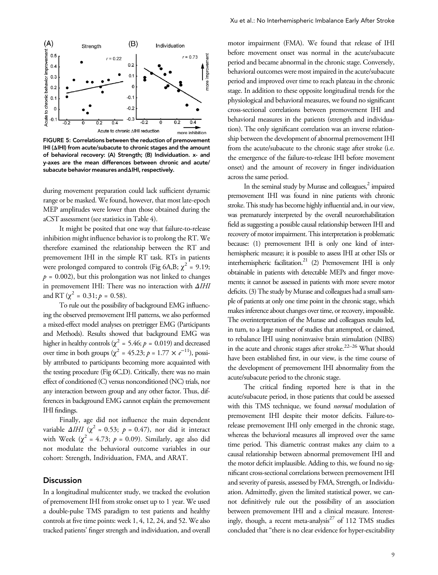

FIGURE 5: Correlations between the reduction of premovement IHI (ΔIHI) from acute/subacute to chronic stages and the amount of behavioral recovery: (A) Strength; (B) Individuation. x- and y-axes are the mean differences between chronic and acute/ subacute behavior measures andΔIHI, respectively.

during movement preparation could lack sufficient dynamic range or be masked. We found, however, that most late-epoch MEP amplitudes were lower than those obtained during the aCST assessment (see statistics in Table 4).

It might be posited that one way that failure-to-release inhibition might influence behavior is to prolong the RT. We therefore examined the relationship between the RT and premovement IHI in the simple RT task. RTs in patients were prolonged compared to controls (Fig 6A,B;  $\chi^2$  = 9.19;  $p = 0.002$ , but this prolongation was not linked to changes in premovement IHI: There was no interaction with ΔIHI and RT ( $\chi^2$  = 0.31;  $p = 0.58$ ).

To rule out the possibility of background EMG influencing the observed premovement IHI patterns, we also performed a mixed-effect model analyses on pretrigger EMG (Participants and Methods). Results showed that background EMG was higher in healthy controls ( $\chi^2$  = 5.46;  $p$  = 0.019) and decreased over time in both groups ( $\chi^2$  = 45.23;  $p$  = 1.77  $\times e^{-11}$ ), possibly attributed to participants becoming more acquainted with the testing procedure (Fig 6C,D). Critically, there was no main effect of conditioned (C) versus nonconditioned (NC) trials, nor any interaction between group and any other factor. Thus, differences in background EMG cannot explain the premovement IHI findings.

Finally, age did not influence the main dependent variable  $\Delta IHI$  ( $\chi^2$  = 0.53;  $p = 0.47$ ), nor did it interact with Week ( $\chi^2$  = 4.73;  $p = 0.09$ ). Similarly, age also did not modulate the behavioral outcome variables in our cohort: Strength, Individuation, FMA, and ARAT.

#### Discussion

In a longitudinal multicenter study, we tracked the evolution of premovement IHI from stroke onset up to 1 year. We used a double-pulse TMS paradigm to test patients and healthy controls at five time points: week 1, 4, 12, 24, and 52. We also tracked patients' finger strength and individuation, and overall

motor impairment (FMA). We found that release of IHI before movement onset was normal in the acute/subacute period and became abnormal in the chronic stage. Conversely, behavioral outcomes were most impaired in the acute/subacute period and improved over time to reach plateau in the chronic stage. In addition to these opposite longitudinal trends for the physiological and behavioral measures, we found no significant cross-sectional correlations between premovement IHI and behavioral measures in the patients (strength and individuation). The only significant correlation was an inverse relationship between the development of abnormal premovement IHI from the acute/subacute to the chronic stage after stroke (i.e. the emergence of the failure-to-release IHI before movement onset) and the amount of recovery in finger individuation across the same period.

In the seminal study by Murase and colleagues,<sup>2</sup> impaired premovement IHI was found in nine patients with chronic stroke. This study has become highly influential and, in our view, was prematurely interpreted by the overall neurorehabilitation field as suggesting a possible causal relationship between IHI and recovery of motor impairment. This interpretation is problematic because: (1) premovement IHI is only one kind of interhemispheric measure; it is possible to assess IHI at other ISIs or interhemispheric facilitation.<sup>21</sup> (2) Premovement IHI is only obtainable in patients with detectable MEPs and finger movements; it cannot be assessed in patients with more severe motor deficits. (3) The study by Murase and colleagues had a small sample of patients at only one time point in the chronic stage, which makes inference about changes over time, or recovery, impossible. The overinterpretation of the Murase and colleagues results led, in turn, to a large number of studies that attempted, or claimed, to rebalance IHI using noninvasive brain stimulation (NIBS) in the acute and chronic stages after stroke.<sup>22-26</sup> What should have been established first, in our view, is the time course of the development of premovement IHI abnormality from the acute/subacute period to the chronic stage.

The critical finding reported here is that in the acute/subacute period, in those patients that could be assessed with this TMS technique, we found *normal* modulation of premovement IHI despite their motor deficits. Failure-torelease premovement IHI only emerged in the chronic stage, whereas the behavioral measures all improved over the same time period. This diametric contrast makes any claim to a causal relationship between abnormal premovement IHI and the motor deficit implausible. Adding to this, we found no significant cross-sectional correlations between premovement IHI and severity of paresis, assessed by FMA, Strength, or Individuation. Admittedly, given the limited statistical power, we cannot definitively rule out the possibility of an association between premovement IHI and a clinical measure. Interestingly, though, a recent meta-analysis $^{27}$  of 112 TMS studies concluded that "there is no clear evidence for hyper-excitability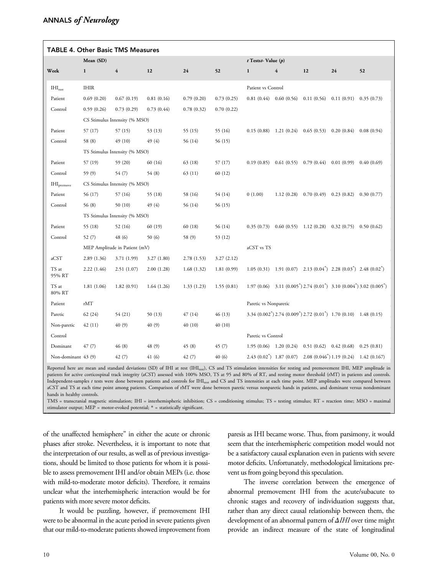| <b>TABLE 4. Other Basic TMS Measures</b> |                               |                               |            |            |                        |                       |                                                                        |                                          |                             |                                                                                                                        |
|------------------------------------------|-------------------------------|-------------------------------|------------|------------|------------------------|-----------------------|------------------------------------------------------------------------|------------------------------------------|-----------------------------|------------------------------------------------------------------------------------------------------------------------|
|                                          | Mean (SD)                     |                               |            |            | $t$ Testst-Value $(p)$ |                       |                                                                        |                                          |                             |                                                                                                                        |
| Week                                     | $\mathbf{1}$                  | $\overline{4}$                | 12         | 24         | 52                     | $\mathbf{1}$          | $\overline{4}$                                                         | 12                                       | 24                          | 52                                                                                                                     |
| IHI <sub>rest</sub>                      | <b>IHIR</b>                   |                               |            |            |                        | Patient vs Control    |                                                                        |                                          |                             |                                                                                                                        |
| Patient                                  | 0.69(0.20)                    | 0.67(0.19)                    | 0.81(0.16) | 0.79(0.20) | 0.73(0.25)             |                       | $0.81(0.44)$ $0.60(0.56)$                                              | 0.11(0.56)                               | $0.11(0.91)$ $0.35(0.73)$   |                                                                                                                        |
| Control                                  | 0.59(0.26)                    | 0.73(0.29)                    | 0.73(0.44) | 0.78(0.32) | 0.70(0.22)             |                       |                                                                        |                                          |                             |                                                                                                                        |
|                                          |                               | CS Stimulus Intensity (% MSO) |            |            |                        |                       |                                                                        |                                          |                             |                                                                                                                        |
| Patient                                  | 57 (17)                       | 57 (15)                       | 53 (13)    | 55(15)     | 55 (16)                | 0.15(0.88)            | 1.21(0.24)                                                             | 0.65(0.53)                               | 0.20(0.84)                  | 0.08(0.94)                                                                                                             |
| Control                                  | 58 (8)                        | 49 (10)                       | 49 (4)     | 56 (14)    | 56 (15)                |                       |                                                                        |                                          |                             |                                                                                                                        |
|                                          | TS Stimulus Intensity (% MSO) |                               |            |            |                        |                       |                                                                        |                                          |                             |                                                                                                                        |
| Patient                                  | 57 (19)                       | 59 (20)                       | 60 (16)    | 63 (18)    | 57 (17)                | 0.19(0.85)            |                                                                        | $0.61(0.55)$ $0.79(0.44)$                | 0.01(0.99)                  | 0.40(0.69)                                                                                                             |
| Control                                  | 59 (9)                        | 54 (7)                        | 54 (8)     | 63(11)     | 60 (12)                |                       |                                                                        |                                          |                             |                                                                                                                        |
| HH <sub>premove</sub>                    | CS Stimulus Intensity (% MSO) |                               |            |            |                        |                       |                                                                        |                                          |                             |                                                                                                                        |
| Patient                                  | 56 (17)                       | 57 (16)                       | 55 (18)    | 58 (16)    | 54 (14)                | 0(1.00)               |                                                                        | $1.12(0.28)$ 0.70 $(0.49)$ 0.23 $(0.82)$ |                             | 0.30(0.77)                                                                                                             |
| Control                                  | 56 (8)                        | 50(10)                        | 49 (4)     | 56 (14)    | 56 (15)                |                       |                                                                        |                                          |                             |                                                                                                                        |
|                                          |                               | TS Stimulus Intensity (% MSO) |            |            |                        |                       |                                                                        |                                          |                             |                                                                                                                        |
| Patient                                  | 55 (18)                       | 52 (16)                       | 60 (19)    | 60 (18)    | 56 (14)                |                       | $0.35(0.73)$ $0.60(0.55)$ $1.12(0.28)$                                 |                                          | $0.32(0.75)$ 0.50 (0.62)    |                                                                                                                        |
| Control                                  | 52(7)                         | 48 (6)                        | 50(6)      | 58 (9)     | 53 (12)                |                       |                                                                        |                                          |                             |                                                                                                                        |
|                                          | MEP Amplitude in Patient (mV) |                               |            |            | aCST vs TS             |                       |                                                                        |                                          |                             |                                                                                                                        |
| aCST                                     | 2.89(1.36)                    | 3.71 (1.99)                   | 3.27(1.80) | 2.78(1.53) | 3.27(2.12)             |                       |                                                                        |                                          |                             |                                                                                                                        |
| TS at<br>95% RT                          | 2.22(1.46)                    | 2.51(1.07)                    | 2.00(1.28) | 1.68(1.32) | 1.81(0.99)             |                       | $1.05(0.31)$ $1.91(0.07)$ $2.13(0.04^*)$ $2.28(0.03^*)$ $2.48(0.02^*)$ |                                          |                             |                                                                                                                        |
| TS at<br>80% RT                          | 1.81(1.06)                    | 1.82(0.91)                    | 1.64(1.26) | 1.33(1.23) | 1.55(0.81)             |                       |                                                                        |                                          |                             | 1.97 (0.06) 3.11 (0.005 <sup>*</sup> ) 2.74 (0.01 <sup>*</sup> ) 3.10 (0.004 <sup>*</sup> ) 3.02 (0.005 <sup>*</sup> ) |
| Patient                                  | rMT                           |                               |            |            |                        | Paretic vs Nonparetic |                                                                        |                                          |                             |                                                                                                                        |
| Paretic                                  | 62(24)                        | 54 (21)                       | 50 (13)    | 47(14)     | 46 (13)                |                       | $3.34 (0.002^*) 2.74 (0.009^*) 2.72 (0.01^*) 1.70 (0.10) 1.48 (0.15)$  |                                          |                             |                                                                                                                        |
| Non-paretic                              | 42(11)                        | 40 (9)                        | 40(9)      | 40(10)     | 40(10)                 |                       |                                                                        |                                          |                             |                                                                                                                        |
| Control                                  |                               |                               |            |            |                        | Paretic vs Control    |                                                                        |                                          |                             |                                                                                                                        |
| Dominant                                 | 47(7)                         | 46(8)                         | 48 (9)     | 45(8)      | 45(7)                  |                       | $1.95(0.06)$ $1.20(0.24)$                                              | 0.51(0.62)                               | 0.42(0.68)                  | 0.25(0.81)                                                                                                             |
| Non-dominant 43 (9)                      |                               | 42 (7)                        | 41(6)      | 42(7)      | 40 (6)                 |                       | $2.43(0.02^*)$ 1.87 (0.07)                                             |                                          | $2.08(0.046^*)$ 1.19 (0.24) | 1.42(0.167)                                                                                                            |

Reported here are mean and standard deviations (SD) of IHI at rest (IHI<sub>rest</sub>), CS and TS stimulation intensities for resting and premovement IHI, MEP amplitude in patients for active corticospinal track integrity (aCST) assessed with 100% MSO, TS at 95 and 80% of RT, and resting motor threshold (rMT) in patients and controls. Independent-samples t tests were done between patients and controls for IHI<sub>rest</sub> and CS and TS intensities at each time point. MEP amplitudes were compared between aCST and TS at each time point among patients. Comparison of rMT were done between paretic versus nonparetic hands in patients, and dominant versus nondominant hands in healthy controls.

TMS = transcranial magnetic stimulation; IHI = interhemispheric inhibition; CS = conditioning stimulus; TS = testing stimulus; RT = reaction time; MSO = maximal stimulator output; MEP = motor-evoked potential; \* = statistically significant.

of the unaffected hemisphere" in either the acute or chronic phases after stroke. Nevertheless, it is important to note that the interpretation of our results, as well as of previous investigations, should be limited to those patients for whom it is possible to assess premovement IHI and/or obtain MEPs (i.e. those with mild-to-moderate motor deficits). Therefore, it remains unclear what the interhemispheric interaction would be for patients with more severe motor deficits.

It would be puzzling, however, if premovement IHI were to be abnormal in the acute period in severe patients given that our mild-to-moderate patients showed improvement from

paresis as IHI became worse. Thus, from parsimony, it would seem that the interhemispheric competition model would not be a satisfactory causal explanation even in patients with severe motor deficits. Unfortunately, methodological limitations prevent us from going beyond this speculation.

The inverse correlation between the emergence of abnormal premovement IHI from the acute/subacute to chronic stages and recovery of individuation suggests that, rather than any direct causal relationship between them, the development of an abnormal pattern of ΔIHI over time might provide an indirect measure of the state of longitudinal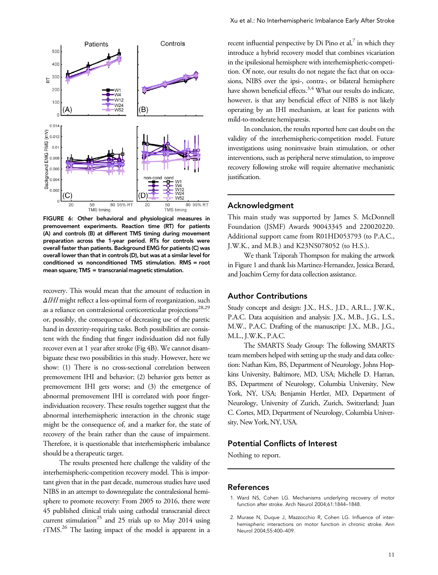

FIGURE 6: Other behavioral and physiological measures in premovement experiments. Reaction time (RT) for patients (A) and controls (B) at different TMS timing during movement preparation across the 1-year period. RTs for controls were overall faster than patients. Background EMG for patients (C) was overall lower than that in controls (D), but was at a similar level for conditioned vs nonconditioned TMS stimulation. RMS = root mean square; TMS = transcranial magnetic stimulation.

recovery. This would mean that the amount of reduction in ΔIHI might reflect a less-optimal form of reorganization, such as a reliance on contralesional corticoreticular projections<sup>28,29</sup> or, possibly, the consequence of decreasing use of the paretic hand in dexterity-requiring tasks. Both possibilities are consistent with the finding that finger individuation did not fully recover even at 1 year after stroke (Fig 4B). We cannot disambiguate these two possibilities in this study. However, here we show: (1) There is no cross-sectional correlation between premovement IHI and behavior; (2) behavior gets better as premovement IHI gets worse; and (3) the emergence of abnormal premovement IHI is correlated with poor fingerindividuation recovery. These results together suggest that the abnormal interhemispheric interaction in the chronic stage might be the consequence of, and a marker for, the state of recovery of the brain rather than the cause of impairment. Therefore, it is questionable that interhemispheric imbalance should be a therapeutic target.

The results presented here challenge the validity of the interhemispheric-competition recovery model. This is important given that in the past decade, numerous studies have used NIBS in an attempt to downregulate the contralesional hemisphere to promote recovery: From 2005 to 2016, there were 45 published clinical trials using cathodal transcranial direct current stimulation<sup>25</sup> and 25 trials up to May 2014 using rTMS.26 The lasting impact of the model is apparent in a

recent influential perspective by Di Pino et al, $^7$  in which they introduce a hybrid recovery model that combines vicariation in the ipsilesional hemisphere with interhemispheric-competition. Of note, our results do not negate the fact that on occasions, NIBS over the ipsi-, contra-, or bilateral hemisphere have shown beneficial effects. $3,4$  What our results do indicate, however, is that any beneficial effect of NIBS is not likely operating by an IHI mechanism, at least for patients with mild-to-moderate hemiparesis.

In conclusion, the results reported here cast doubt on the validity of the interhemispheric-competition model. Future investigations using noninvasive brain stimulation, or other interventions, such as peripheral nerve stimulation, to improve recovery following stroke will require alternative mechanistic justification.

#### Acknowledgment

This main study was supported by James S. McDonnell Foundation (JSMF) Awards 90043345 and 220020220. Additional support came from R01HD053793 (to P.A.C., J.W.K., and M.B.) and K23NS078052 (to H.S.).

We thank Tziporah Thompson for making the artwork in Figure 1 and thank Isis Martinez-Hernandez, Jessica Berard, and Joachim Cerny for data collection assistance.

#### Author Contributions

Study concept and design: J.X., H.S., J.D., A.R.L., J.W.K., P.A.C. Data acquisition and analysis: J.X., M.B., J.G., L.S., M.W., P.A.C. Drafting of the manuscript: J.X., M.B., J.G., M.L., J.W.K., P.A.C.

The SMARTS Study Group: The following SMARTS team members helped with setting up the study and data collection: Nathan Kim, BS, Department of Neurology, Johns Hopkins University, Baltimore, MD, USA; Michelle D. Harran, BS, Department of Neurology, Columbia University, New York, NY, USA; Benjamin Hertler, MD, Department of Neurology, University of Zurich, Zurich, Switzerland; Juan C. Cortes, MD, Department of Neurology, Columbia University, New York, NY, USA.

### Potential Conflicts of Interest

Nothing to report.

### References

- 1. Ward NS, Cohen LG. Mechanisms underlying recovery of motor function after stroke. Arch Neurol 2004;61:1844–1848.
- 2. Murase N, Duque J, Mazzocchio R, Cohen LG. Influence of interhemispheric interactions on motor function in chronic stroke. Ann Neurol 2004;55:400–409.